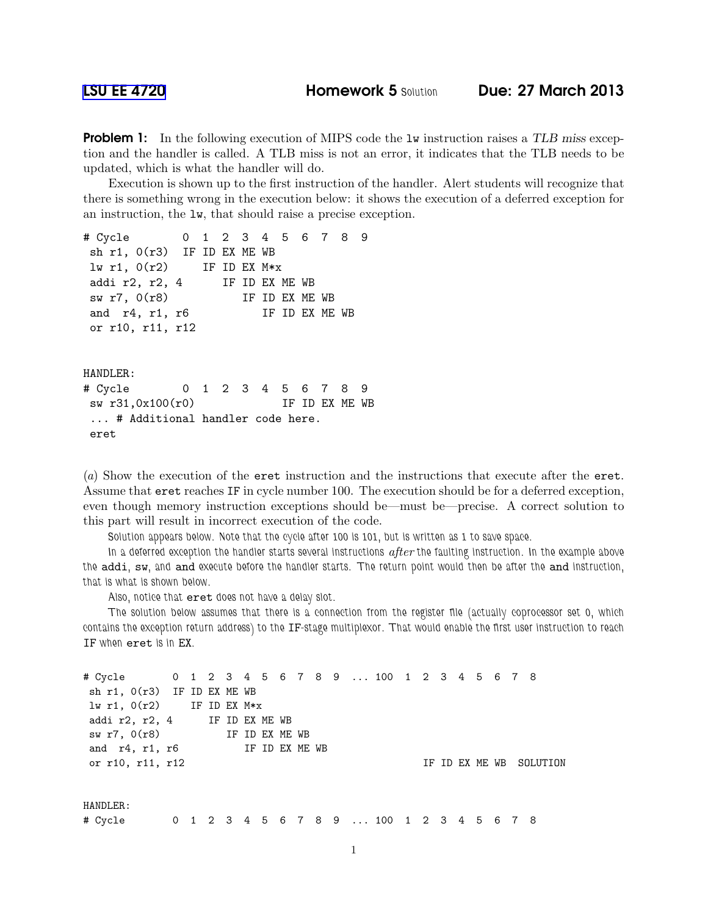**Problem 1:** In the following execution of MIPS code the 1w instruction raises a TLB miss exception and the handler is called. A TLB miss is not an error, it indicates that the TLB needs to be updated, which is what the handler will do.

Execution is shown up to the first instruction of the handler. Alert students will recognize that there is something wrong in the execution below: it shows the execution of a deferred exception for an instruction, the lw, that should raise a precise exception.

```
# Cycle 0 1 2 3 4 5 6 7 8 9
sh r1, 0(r3) IF ID EX ME WB
lw r1, 0(r2) IF ID EX M*x
addi r2, r2, 4 IF ID EX ME WB
sw r7, 0(r8) IF ID EX ME WB
and r4, r1, r6 IF ID EX ME WB
or r10, r11, r12
HANDLER:
# Cycle 0 1 2 3 4 5 6 7 8 9
sw r31,0x100(r0) IF ID EX ME WB
... # Additional handler code here.
eret
```
(a) Show the execution of the eret instruction and the instructions that execute after the eret. Assume that eret reaches IF in cycle number 100. The execution should be for a deferred exception, even though memory instruction exceptions should be—must be—precise. A correct solution to this part will result in incorrect execution of the code.

Solution appears below. Note that the cycle after 100 is 101, but is written as 1 to save space.

In a deferred exception the handler starts several instructions  $after$  the faulting instruction. In the example above the addi, sw, and and execute before the handler starts. The return point would then be after the and instruction, that is what is shown below.

Also, notice that eret does not have a delay slot.

The solution below assumes that there is a connection from the register file (actually coprocessor set 0, which contains the exception return address) to the IF-stage multiplexor. That would enable the first user instruction to reach IF when eret is in EX.

```
# Cycle 0 1 2 3 4 5 6 7 8 9 ... 100 1 2 3 4 5 6 7 8
sh r1, 0(r3) IF ID EX ME WB
lw r1, 0(r2) IF ID EX M*x
addi r2, r2, 4 IF ID EX ME WB
sw r7, 0(r8) IF ID EX ME WB
and r4, r1, r6 IF ID EX ME WB
or r10, r11, r12 IF ID EX ME WB SOLUTION
HANDLER:
# Cycle 0 1 2 3 4 5 6 7 8 9 ... 100 1 2 3 4 5 6 7 8
```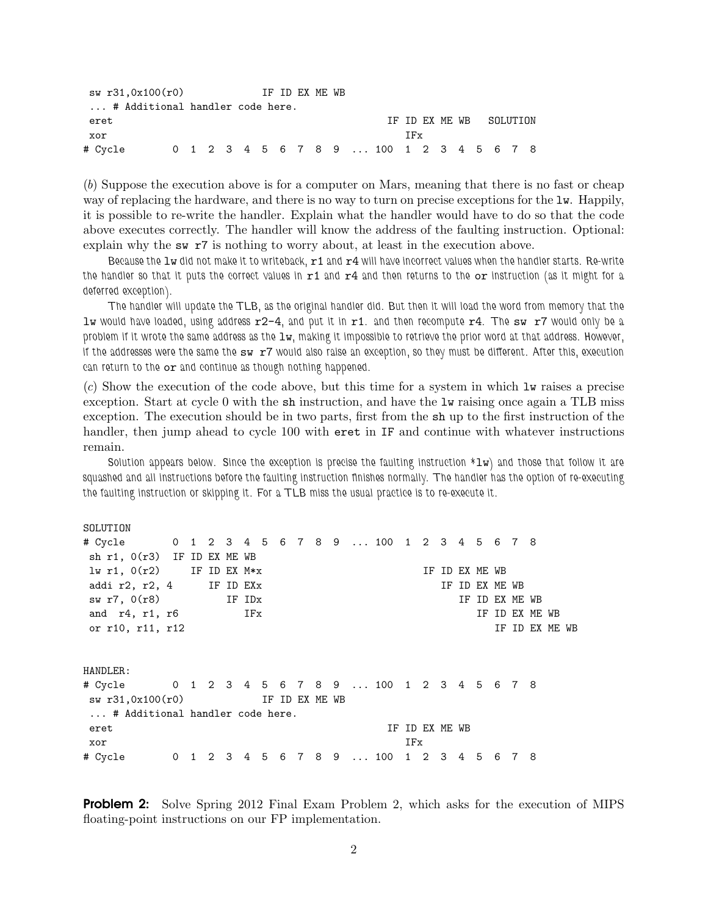```
sw r31,0x100(r0) IF ID EX ME WB
... # Additional handler code here.
eret and the interval of the set of the IF ID EX ME WB SOLUTION
xor IFx
# Cycle 0 1 2 3 4 5 6 7 8 9 ... 100 1 2 3 4 5 6 7 8
```
(b) Suppose the execution above is for a computer on Mars, meaning that there is no fast or cheap way of replacing the hardware, and there is no way to turn on precise exceptions for the lw. Happily, it is possible to re-write the handler. Explain what the handler would have to do so that the code above executes correctly. The handler will know the address of the faulting instruction. Optional: explain why the sw r7 is nothing to worry about, at least in the execution above.

Because the  $1w$  did not make it to writeback,  $r1$  and  $r4$  will have incorrect values when the handler starts. Re-write the handler so that it puts the correct values in  $r1$  and  $r4$  and then returns to the or instruction (as it might for a deferred exception).

The handler will update the TLB, as the original handler did. But then it will load the word from memory that the lw would have loaded, using address  $r2-4$ , and put it in  $r1$ . and then recompute  $r4$ . The sw  $r7$  would only be a problem if it wrote the same address as the lw, making it impossible to retrieve the prior word at that address. However, if the addresses were the same the sw r7 would also raise an exception, so they must be different. After this, execution can return to the or and continue as though nothing happened.

(c) Show the execution of the code above, but this time for a system in which lw raises a precise exception. Start at cycle 0 with the sh instruction, and have the lw raising once again a TLB miss exception. The execution should be in two parts, first from the sh up to the first instruction of the handler, then jump ahead to cycle 100 with eret in IF and continue with whatever instructions remain.

Solution appears below. Since the exception is precise the faulting instruction  $*Iw$ ) and those that follow it are squashed and all instructions before the faulting instruction finishes normally. The handler has the option of re-executing the faulting instruction or skipping it. For a TLB miss the usual practice is to re-execute it.

| SOLUTION                                         |              |  |              |     |                |  |  |                  |     |                |     |   |             |                |                |  |  |
|--------------------------------------------------|--------------|--|--------------|-----|----------------|--|--|------------------|-----|----------------|-----|---|-------------|----------------|----------------|--|--|
| # Cycle 0 1 2 3 4 5 6 7 8 9  100 1 2 3 4 5 6 7 8 |              |  |              |     |                |  |  |                  |     |                |     |   |             |                |                |  |  |
| sh $r1$ , $0(r3)$ IF ID EX ME WB                 |              |  |              |     |                |  |  |                  |     |                |     |   |             |                |                |  |  |
| $1w$ r1, $0(r2)$                                 |              |  | IF ID EX M*x |     |                |  |  |                  |     | TF.            |     |   | ID EX ME WB |                |                |  |  |
| addi $r2$ , $r2$ , $4$ IF ID EXx                 |              |  |              |     |                |  |  |                  |     |                | IF. |   |             | ID EX ME WB    |                |  |  |
| sw r7, 0(r8)                                     |              |  | IF IDx       |     |                |  |  |                  |     |                |     |   |             | IF ID EX ME WB |                |  |  |
| and $r4$ , $r1$ , $r6$                           |              |  |              | IFx |                |  |  |                  |     |                |     |   | ΙF          | ID EX ME WB    |                |  |  |
| or r10, r11, r12                                 |              |  |              |     |                |  |  |                  |     |                |     |   |             |                | IF ID EX ME WB |  |  |
|                                                  |              |  |              |     |                |  |  |                  |     |                |     |   |             |                |                |  |  |
| HANDLER:                                         |              |  |              |     |                |  |  |                  |     |                |     |   |             |                |                |  |  |
| # Cycle 0 1 2 3 4 5 6 7 8 9  100 1 2 3 4 5 6 7 8 |              |  |              |     |                |  |  |                  |     |                |     |   |             |                |                |  |  |
| sw r31,0x100(r0)                                 |              |  |              |     | IF ID EX ME WB |  |  |                  |     |                |     |   |             |                |                |  |  |
| # Additional handler code here.                  |              |  |              |     |                |  |  |                  |     |                |     |   |             |                |                |  |  |
| eret                                             |              |  |              |     |                |  |  |                  |     | IF ID EX ME WB |     |   |             |                |                |  |  |
| xor                                              |              |  |              |     |                |  |  |                  | IFx |                |     |   |             |                |                |  |  |
| # Cycle                                          | $\mathbf{0}$ |  |              |     | 1 2 3 4 5      |  |  | 6 7 8 9  100 1 2 |     |                | 3   | 4 | 5           | 6              | 78             |  |  |

**Problem 2:** Solve Spring 2012 Final Exam Problem 2, which asks for the execution of MIPS floating-point instructions on our FP implementation.